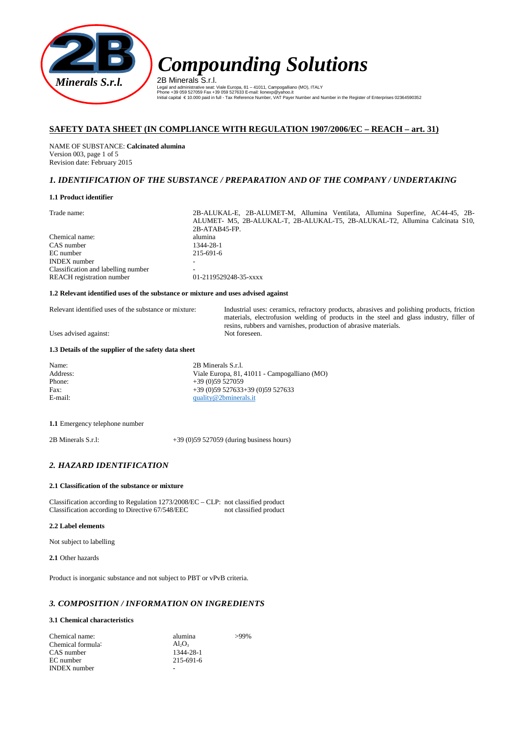

2B Minerals S.r.l. Legal and administrative seat: Viale Europa, 81 – 41011, Campogalliano (MO), ITALY<br>Phone +39 059 527059 Fax +39 059 527633 E-mail: lionexp®yahoo.it<br>Initial capital € 10.000 paid in full - Tax Reference Number, VAT Payer Nu

# **SAFETY DATA SHEET (IN COMPLIANCE WITH REGULATION 1907/2006/EC – REACH – art. 31)**

NAME OF SUBSTANCE: **Calcinated alumina** Version 003, page 1 of 5 Revision date: February 2015

# *1. IDENTIFICATION OF THE SUBSTANCE / PREPARATION AND OF THE COMPANY / UNDERTAKING*

### **1.1 Product identifier**

| Trade name: |  |
|-------------|--|
|             |  |

2B-ALUKAL-E, 2B-ALUMET-M, Allumina Ventilata, Allumina Superfine, AC44-45, 2B-ALUMET- M5, 2B-ALUKAL-T, 2B-ALUKAL-T5, 2B-ALUKAL-T2, Allumina Calcinata S10, 2B-ATAB45-FP. Chemical name:<br>
CAS number 1344-28-1 CAS number 1344-28-1<br>EC number 215-691-6 EC number INDEX number Classification and labelling number<br>REACH registration number 01-2119529248-35-xxxx REACH registration number

### **1.2 Relevant identified uses of the substance or mixture and uses advised against**

Relevant identified uses of the substance or mixture: Industrial uses: ceramics, refractory products, abrasives and polishing products, friction materials, electrofusion welding of products in the steel and glass industry, filler of resins, rubbers and varnishes, production of abrasive materials.

Uses advised against:

### **1.3 Details of the supplier of the safety data sheet**

Name: 2B Minerals S.r.l. Address:<br>
Viale Europa, 81, 41011 - Campogalliano (MO)<br>
Phone:<br>  $+39$  (0)59 527059 Phone: +39 (0)59 527059<br>Fax: +39 (0)59 527633 Fax: +39 (0)59 527633+39 (0)59 527633<br>E-mail: quality@2bminerals.it [quality@2bminerals.it](mailto:quality@2bminerals.it)

**1.1** Emergency telephone number

2B Minerals S.r.l: +39 (0)59 527059 (during business hours)

# *2. HAZARD IDENTIFICATION*

### **2.1 Classification of the substance or mixture**

Classification according to Regulation 1273/2008/EC – CLP: not classified product Classification according to Directive 67/548/EEC not classified product Classification according to Directive 67/548/EEC

### **2.2 Label elements**

Not subject to labelling

**2.1** Other hazards

Product is inorganic substance and not subject to PBT or vPvB criteria.

# *3. COMPOSITION / INFORMATION ON INGREDIENTS*

### **3.1 Chemical characteristics**

| Chemical name:      | alumina         | $>99\%$ |
|---------------------|-----------------|---------|
| Chemical formula:   | $Al_2O_3$       |         |
| CAS number          | 1344-28-1       |         |
| EC number           | $215 - 691 - 6$ |         |
| <b>INDEX</b> number |                 |         |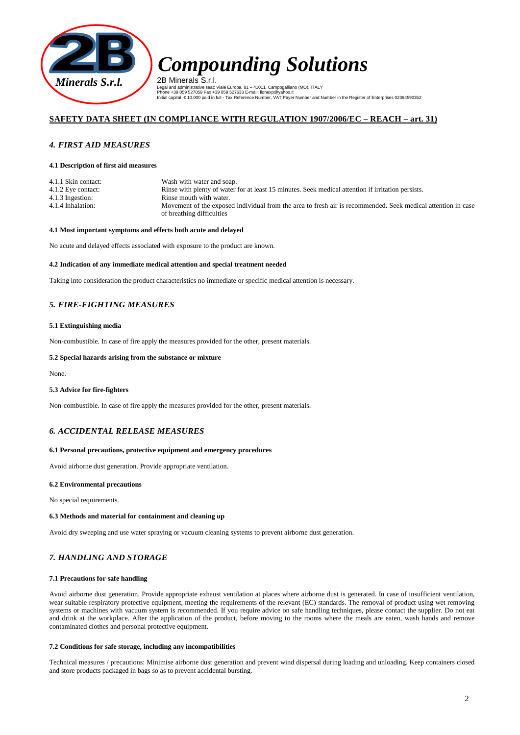

2B Minerals S.r.l. Legal and administrative seat: Viale Europa, 81 – 41011, Campogalliano (MO), ITALY<br>Phone +39 059 527059 Fax +39 059 527633 E-mail: lionexp®yahoo.it<br>Initial capital € 10.000 paid in full - Tax Reference Number, VAT Payer Nu

# **SAFETY DATA SHEET (IN COMPLIANCE WITH REGULATION 1907/2006/EC – REACH – art. 31)**

### *4. FIRST AID MEASURES*

### **4.1 Description of first aid measures**

| 4.1.1 Skin contact: | Wash with water and soap.                                                                                    |
|---------------------|--------------------------------------------------------------------------------------------------------------|
| 4.1.2 Eye contact:  | Rinse with plenty of water for at least 15 minutes. Seek medical attention if irritation persists.           |
| 4.1.3 Ingestion:    | Rinse mouth with water.                                                                                      |
| 4.1.4 Inhalation:   | Movement of the exposed individual from the area to fresh air is recommended. Seek medical attention in case |
|                     | of breathing difficulties                                                                                    |

### **4.1 Most important symptoms and effects both acute and delayed**

No acute and delayed effects associated with exposure to the product are known.

### **4.2 Indication of any immediate medical attention and special treatment needed**

Taking into consideration the product characteristics no immediate or specific medical attention is necessary.

# *5. FIRE-FIGHTING MEASURES*

### **5.1 Extinguishing media**

Non-combustible. In case of fire apply the measures provided for the other, present materials.

### **5.2 Special hazards arising from the substance or mixture**

None.

### **5.3 Advice for fire-fighters**

Non-combustible. In case of fire apply the measures provided for the other, present materials.

### *6. ACCIDENTAL RELEASE MEASURES*

### **6.1 Personal precautions, protective equipment and emergency procedures**

Avoid airborne dust generation. Provide appropriate ventilation.

### **6.2 Environmental precautions**

No special requirements.

### **6.3 Methods and material for containment and cleaning up**

Avoid dry sweeping and use water spraying or vacuum cleaning systems to prevent airborne dust generation.

# *7. HANDLING AND STORAGE*

### **7.1 Precautions for safe handling**

Avoid airborne dust generation. Provide appropriate exhaust ventilation at places where airborne dust is generated. In case of insufficient ventilation, wear suitable respiratory protective equipment, meeting the requirements of the relevant (EC) standards. The removal of product using wet removing systems or machines with vacuum system is recommended. If you require advice on safe handling techniques, please contact the supplier. Do not eat and drink at the workplace. After the application of the product, before moving to the rooms where the meals are eaten, wash hands and remove contaminated clothes and personal protective equipment.

### **7.2 Conditions for safe storage, including any incompatibilities**

Technical measures / precautions: Minimise airborne dust generation and prevent wind dispersal during loading and unloading. Keep containers closed and store products packaged in bags so as to prevent accidental bursting.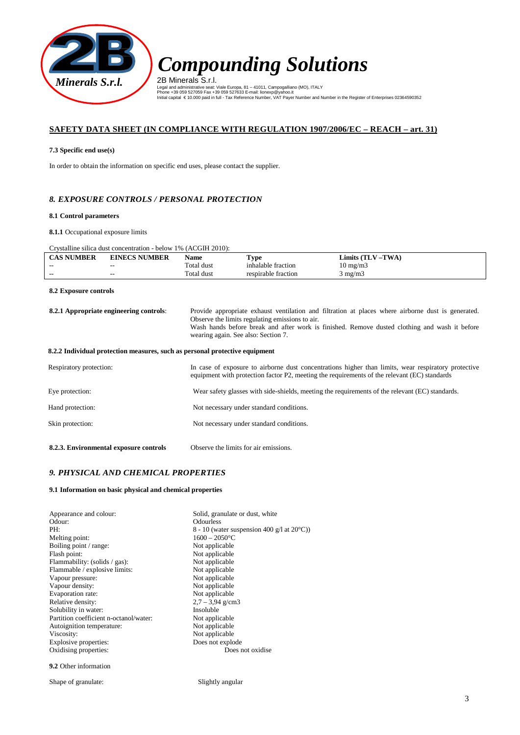

2B Minerals S.r.l. Legal and administrative seat: Viale Europa, 81 – 41011, Campogalliano (MO), ITALY<br>Phone +39 059 527059 Fax +39 059 527633 E-mail: lionexp®yahoo.it<br>Initial capital € 10.000 paid in full - Tax Reference Number, VAT Payer Nu

# **SAFETY DATA SHEET (IN COMPLIANCE WITH REGULATION 1907/2006/EC – REACH – art. 31)**

# **7.3 Specific end use(s)**

In order to obtain the information on specific end uses, please contact the supplier.

# *8. EXPOSURE CONTROLS / PERSONAL PROTECTION*

### **8.1 Control parameters**

**8.1.1** Occupational exposure limits

# Crystalline silica dust concentration - below 1% (ACGIH 2010):

| <b>CAS NUMBER</b>                                                           | <b>EINECS NUMBER</b> | <b>Name</b> | <b>Type</b>                                                                                                                                                                                                                                                                                   | Limits $(TLV - TWA)$                                                                                                                                                                                |  |
|-----------------------------------------------------------------------------|----------------------|-------------|-----------------------------------------------------------------------------------------------------------------------------------------------------------------------------------------------------------------------------------------------------------------------------------------------|-----------------------------------------------------------------------------------------------------------------------------------------------------------------------------------------------------|--|
|                                                                             |                      | Total dust  | inhalable fraction                                                                                                                                                                                                                                                                            | $10 \text{ mg/m}$                                                                                                                                                                                   |  |
|                                                                             |                      | Total dust  | respirable fraction                                                                                                                                                                                                                                                                           | $3 \text{ mg/m}$                                                                                                                                                                                    |  |
| 8.2 Exposure controls                                                       |                      |             |                                                                                                                                                                                                                                                                                               |                                                                                                                                                                                                     |  |
| 8.2.1 Appropriate engineering controls:                                     |                      |             | Provide appropriate exhaust ventilation and filtration at places where airborne dust is generated.<br>Observe the limits regulating emissions to air.<br>Wash hands before break and after work is finished. Remove dusted clothing and wash it before<br>wearing again. See also: Section 7. |                                                                                                                                                                                                     |  |
| 8.2.2 Individual protection measures, such as personal protective equipment |                      |             |                                                                                                                                                                                                                                                                                               |                                                                                                                                                                                                     |  |
| Respiratory protection:                                                     |                      |             |                                                                                                                                                                                                                                                                                               | In case of exposure to airborne dust concentrations higher than limits, wear respiratory protective<br>equipment with protection factor P2, meeting the requirements of the relevant (EC) standards |  |
| Eye protection:                                                             |                      |             |                                                                                                                                                                                                                                                                                               | Wear safety glasses with side-shields, meeting the requirements of the relevant (EC) standards.                                                                                                     |  |

| Hand protection: | Not necessary under standard conditions. |
|------------------|------------------------------------------|
| Skin protection: | Not necessary under standard conditions. |

| 8.2.3. Environmental exposure controls | Observe the limits for air emissions. |
|----------------------------------------|---------------------------------------|

# *9. PHYSICAL AND CHEMICAL PROPERTIES*

# **9.1 Information on basic physical and chemical properties**

| Appearance and colour:                 | Solid, granulate or dust, white                      |
|----------------------------------------|------------------------------------------------------|
| Odour:                                 | <b>Odourless</b>                                     |
| PH:                                    | 8 - 10 (water suspension 400 g/l at $20^{\circ}$ C)) |
| Melting point:                         | $1600 - 2050$ °C                                     |
| Boiling point / range:                 | Not applicable                                       |
| Flash point:                           | Not applicable                                       |
| Flammability: (solids / gas):          | Not applicable                                       |
| Flammable / explosive limits:          | Not applicable                                       |
| Vapour pressure:                       | Not applicable                                       |
| Vapour density:                        | Not applicable                                       |
| Evaporation rate:                      | Not applicable                                       |
| Relative density:                      | $2.7 - 3.94$ g/cm3                                   |
| Solubility in water:                   | Insoluble                                            |
| Partition coefficient n-octanol/water: | Not applicable                                       |
| Autoignition temperature:              | Not applicable                                       |
| Viscosity:                             | Not applicable                                       |
| Explosive properties:                  | Does not explode                                     |
| Oxidising properties:                  | Does not oxidise.                                    |
|                                        |                                                      |

**9.2** Other information

Shape of granulate: Slightly angular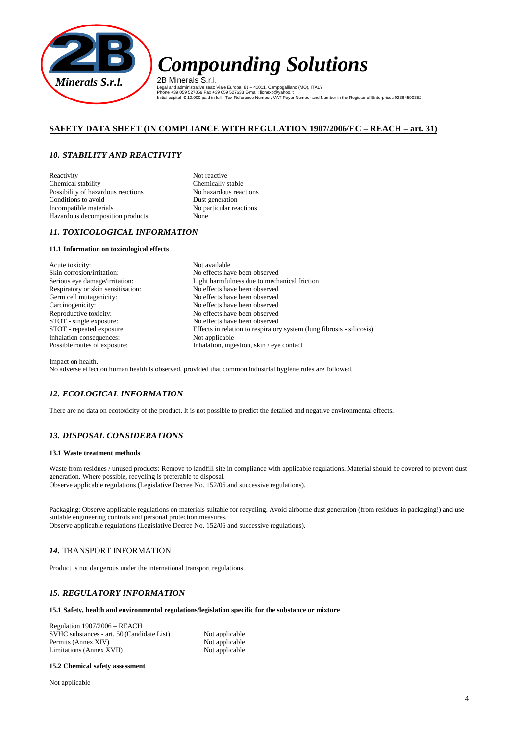

2B Minerals S.r.l. Legal and administrative seat: Viale Europa, 81 – 41011, Campogalliano (MO), ITALY<br>Phone +39 059 527059 Fax +39 059 527633 E-mail: lionexp®yahoo.it<br>Initial capital € 10.000 paid in full - Tax Reference Number, VAT Payer Nu

# **SAFETY DATA SHEET (IN COMPLIANCE WITH REGULATION 1907/2006/EC – REACH – art. 31)**

# *10. STABILITY AND REACTIVITY*

Reactivity Not reactive<br>Chemical stability Chemically stable Chemical stability Possibility of hazardous reactions<br>
Conditions to avoid<br>
Dust generation Conditions to avoid<br>
Incompatible materials<br>
No particular res Hazardous decomposition products None

No particular reactions

# *11. TOXICOLOGICAL INFORMATION*

### **11.1 Information on toxicological effects**

Acute toxicity: Not available Skin corrosion/irritation: No effects have been observed<br>Serious eye damage/irritation: Light harmfulness due to mech Respiratory or skin sensitisation:<br>
No effects have been observed<br>
No effects have been observed Germ cell mutagenicity: Carcinogenicity: No effects have been observed<br>Reproductive toxicity: No effects have been observed Reproductive toxicity:<br>
No effects have been observed<br>
No effects have been observed<br>
No effects have been observed Inhalation consequences:<br>Possible routes of exposure:

Light harmfulness due to mechanical friction: No effects have been observed No effects have been observed STOT - repeated exposure: Effects in relation to respiratory system (lung fibrosis - silicosis)<br>Inhalation consequences: Not applicable Inhalation, ingestion, skin / eye contact

Impact on health.

No adverse effect on human health is observed, provided that common industrial hygiene rules are followed.

# *12. ECOLOGICAL INFORMATION*

There are no data on ecotoxicity of the product. It is not possible to predict the detailed and negative environmental effects.

# *13. DISPOSAL CONSIDERATIONS*

### **13.1 Waste treatment methods**

Waste from residues / unused products: Remove to landfill site in compliance with applicable regulations. Material should be covered to prevent dust generation. Where possible, recycling is preferable to disposal. Observe applicable regulations (Legislative Decree No. 152/06 and successive regulations).

Packaging: Observe applicable regulations on materials suitable for recycling. Avoid airborne dust generation (from residues in packaging!) and use suitable engineering controls and personal protection measures. Observe applicable regulations (Legislative Decree No. 152/06 and successive regulations).

# *14.* TRANSPORT INFORMATION

Product is not dangerous under the international transport regulations.

# *15. REGULATORY INFORMATION*

### **15.1 Safety, health and environmental regulations/legislation specific for the substance or mixture**

Regulation 1907/2006 – REACH SVHC substances - art. 50 (Candidate List) Not applicable<br>Permits (Annex XIV) Not applicable Permits (Annex XIV) Limitations (Annex XVII) Not applicable

### **15.2 Chemical safety assessment**

Not applicable